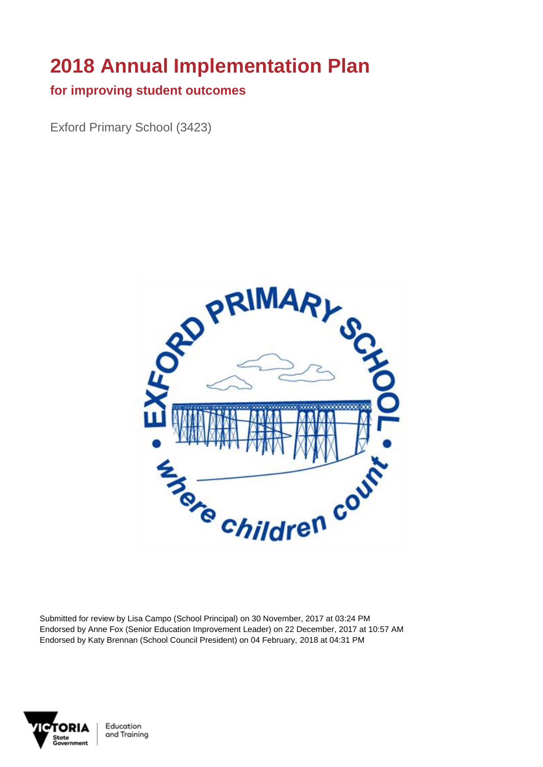# **2018 Annual Implementation Plan**

#### **for improving student outcomes**

Exford Primary School (3423)



Submitted for review by Lisa Campo (School Principal) on 30 November, 2017 at 03:24 PM Endorsed by Anne Fox (Senior Education Improvement Leader) on 22 December, 2017 at 10:57 AM Endorsed by Katy Brennan (School Council President) on 04 February, 2018 at 04:31 PM



Education and Training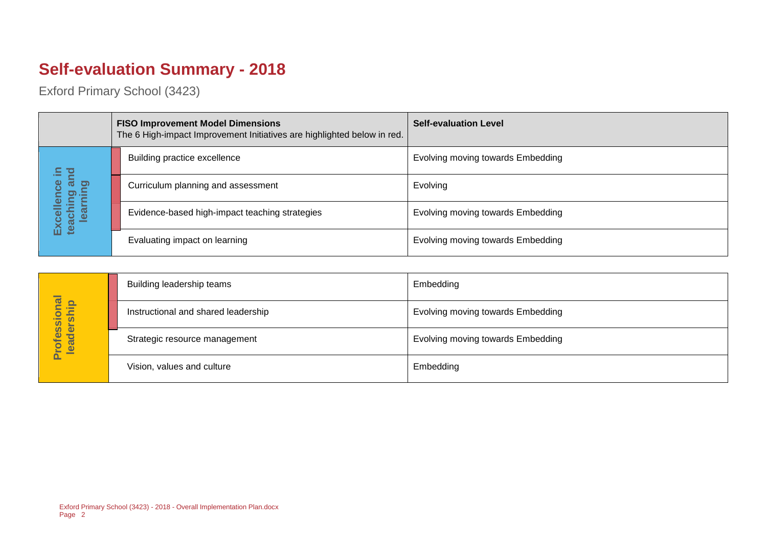## **Self-evaluation Summary - 2018**

|  |                                       | <b>FISO Improvement Model Dimensions</b><br>The 6 High-impact Improvement Initiatives are highlighted below in red. | <b>Self-evaluation Level</b>      |
|--|---------------------------------------|---------------------------------------------------------------------------------------------------------------------|-----------------------------------|
|  | Ξ.                                    | Building practice excellence                                                                                        | Evolving moving towards Embedding |
|  | an                                    | Curriculum planning and assessment                                                                                  | Evolving                          |
|  | Excellence<br>teaching an<br>learning | Evidence-based high-impact teaching strategies                                                                      | Evolving moving towards Embedding |
|  |                                       | Evaluating impact on learning                                                                                       | Evolving moving towards Embedding |

|                            | Building leadership teams           | Embedding                         |
|----------------------------|-------------------------------------|-----------------------------------|
|                            | Instructional and shared leadership | Evolving moving towards Embedding |
| Professional<br>leadership | Strategic resource management       | Evolving moving towards Embedding |
|                            | Vision, values and culture          | Embedding                         |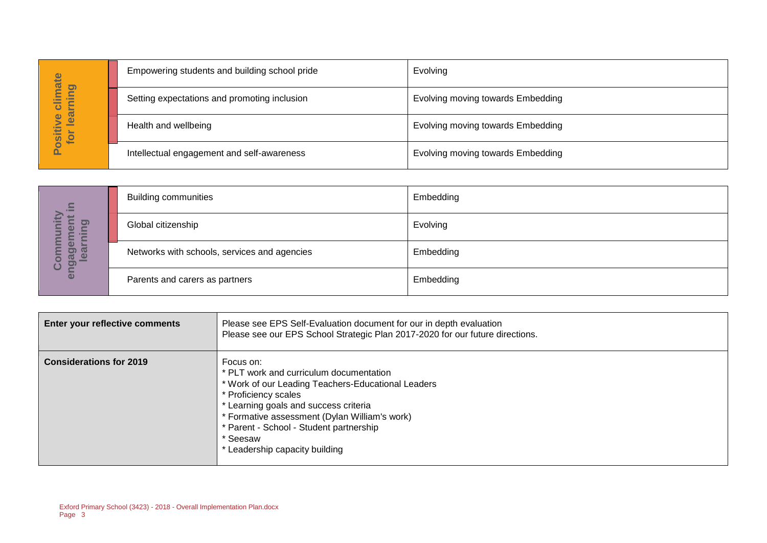| hate                       | Empowering students and building school pride | Evolving                          |
|----------------------------|-----------------------------------------------|-----------------------------------|
| pui<br>₿<br>÷<br>ပ         | Setting expectations and promoting inclusion  | Evolving moving towards Embedding |
| lear<br>ဖ<br>ositiv<br>for | Health and wellbeing                          | Evolving moving towards Embedding |
|                            | Intellectual engagement and self-awareness    | Evolving moving towards Embedding |

| $\Xi$                                                            | <b>Building communities</b>                  | Embedding |
|------------------------------------------------------------------|----------------------------------------------|-----------|
| <u>ත</u><br>$\boldsymbol{\omega}$<br>$\overline{ }$<br>'Ē        | Global citizenship                           | Evolving  |
| ō<br><b>GO</b><br>ו (ס<br>$\bullet$<br>$\overline{\omega}$<br>ပိ | Networks with schools, services and agencies | Embedding |
| eng                                                              | Parents and carers as partners               | Embedding |

|                                  |                                                                        | Empowering students and building school pride                                                                                                                                                                                                                                                                         | ⊏v∪iviriy                         |
|----------------------------------|------------------------------------------------------------------------|-----------------------------------------------------------------------------------------------------------------------------------------------------------------------------------------------------------------------------------------------------------------------------------------------------------------------|-----------------------------------|
| Positive climate<br>for learning |                                                                        | Setting expectations and promoting inclusion                                                                                                                                                                                                                                                                          | Evolving moving towards Embedding |
|                                  | Health and wellbeing                                                   |                                                                                                                                                                                                                                                                                                                       | Evolving moving towards Embedding |
|                                  |                                                                        | Intellectual engagement and self-awareness                                                                                                                                                                                                                                                                            | Evolving moving towards Embedding |
|                                  |                                                                        |                                                                                                                                                                                                                                                                                                                       |                                   |
|                                  | <b>Building communities</b>                                            |                                                                                                                                                                                                                                                                                                                       | Embedding                         |
| learning                         | Global citizenship                                                     |                                                                                                                                                                                                                                                                                                                       | Evolving                          |
| engagement in<br>Community       |                                                                        | Networks with schools, services and agencies                                                                                                                                                                                                                                                                          | Embedding                         |
|                                  | Parents and carers as partners                                         |                                                                                                                                                                                                                                                                                                                       | Embedding                         |
|                                  |                                                                        |                                                                                                                                                                                                                                                                                                                       |                                   |
| Enter your reflective comments   |                                                                        | Please see EPS Self-Evaluation document for our in depth evaluation<br>Please see our EPS School Strategic Plan 2017-2020 for our future directions.                                                                                                                                                                  |                                   |
| <b>Considerations for 2019</b>   |                                                                        | Focus on:<br>* PLT work and curriculum documentation<br>* Work of our Leading Teachers-Educational Leaders<br>* Proficiency scales<br>* Learning goals and success criteria<br>* Formative assessment (Dylan William's work)<br>* Parent - School - Student partnership<br>* Seesaw<br>* Leadership capacity building |                                   |
|                                  |                                                                        |                                                                                                                                                                                                                                                                                                                       |                                   |
| Page 3                           | Exford Primary School (3423) - 2018 - Overall Implementation Plan.docx |                                                                                                                                                                                                                                                                                                                       |                                   |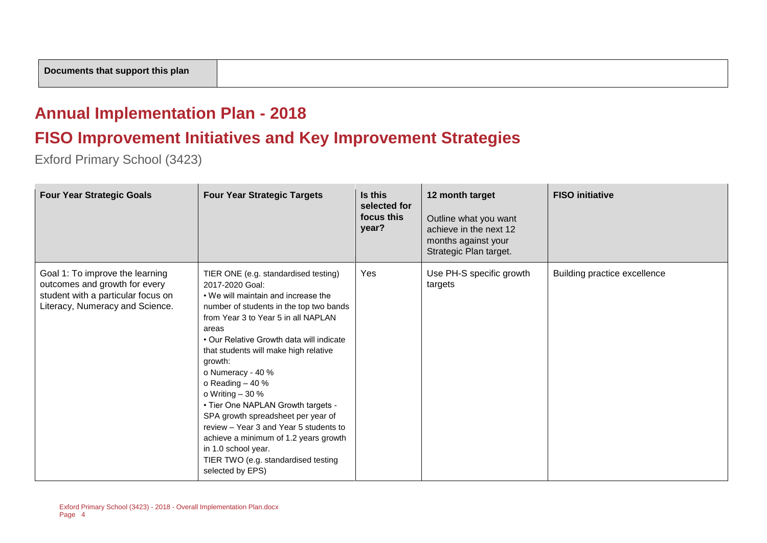#### **Annual Implementation Plan - 2018**

#### **FISO Improvement Initiatives and Key Improvement Strategies**

| <b>Four Year Strategic Goals</b>                                                                                                          | <b>Four Year Strategic Targets</b>                                                                                                                                                                                                                                                                                                                                                                                                                                                                                                                                                                      | Is this<br>selected for<br>focus this<br>year? | 12 month target<br>Outline what you want<br>achieve in the next 12<br>months against your<br>Strategic Plan target. | <b>FISO</b> initiative       |
|-------------------------------------------------------------------------------------------------------------------------------------------|---------------------------------------------------------------------------------------------------------------------------------------------------------------------------------------------------------------------------------------------------------------------------------------------------------------------------------------------------------------------------------------------------------------------------------------------------------------------------------------------------------------------------------------------------------------------------------------------------------|------------------------------------------------|---------------------------------------------------------------------------------------------------------------------|------------------------------|
| Goal 1: To improve the learning<br>outcomes and growth for every<br>student with a particular focus on<br>Literacy, Numeracy and Science. | TIER ONE (e.g. standardised testing)<br>2017-2020 Goal:<br>• We will maintain and increase the<br>number of students in the top two bands<br>from Year 3 to Year 5 in all NAPLAN<br>areas<br>• Our Relative Growth data will indicate<br>that students will make high relative<br>growth:<br>o Numeracy - 40 %<br>o Reading $-40%$<br>o Writing $-30%$<br>• Tier One NAPLAN Growth targets -<br>SPA growth spreadsheet per year of<br>review - Year 3 and Year 5 students to<br>achieve a minimum of 1.2 years growth<br>in 1.0 school year.<br>TIER TWO (e.g. standardised testing<br>selected by EPS) | Yes                                            | Use PH-S specific growth<br>targets                                                                                 | Building practice excellence |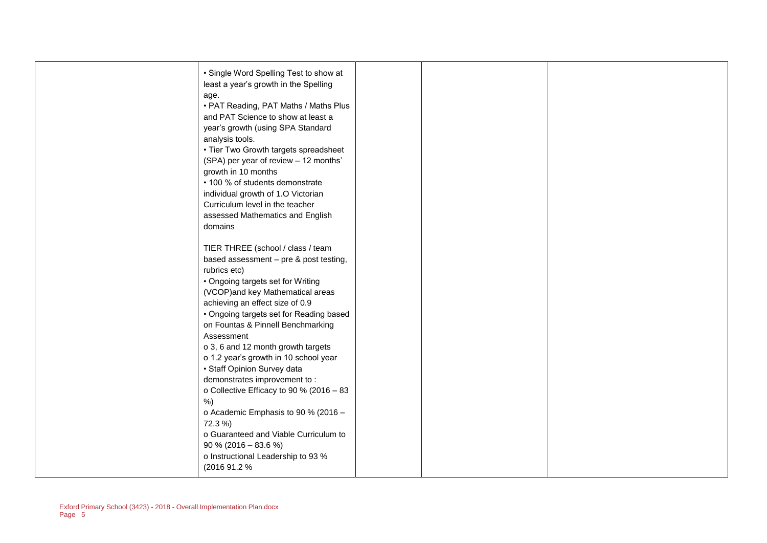| • Single Word Spelling Test to show at<br>least a year's growth in the Spelling<br>age.<br>• PAT Reading, PAT Maths / Maths Plus<br>and PAT Science to show at least a<br>year's growth (using SPA Standard<br>analysis tools.<br>• Tier Two Growth targets spreadsheet<br>(SPA) per year of review - 12 months'<br>growth in 10 months<br>• 100 % of students demonstrate<br>individual growth of 1.O Victorian<br>Curriculum level in the teacher<br>assessed Mathematics and English<br>domains                                                                                                                                                                                   |  |  |
|--------------------------------------------------------------------------------------------------------------------------------------------------------------------------------------------------------------------------------------------------------------------------------------------------------------------------------------------------------------------------------------------------------------------------------------------------------------------------------------------------------------------------------------------------------------------------------------------------------------------------------------------------------------------------------------|--|--|
| TIER THREE (school / class / team<br>based assessment - pre & post testing,<br>rubrics etc)<br>• Ongoing targets set for Writing<br>(VCOP)and key Mathematical areas<br>achieving an effect size of 0.9<br>• Ongoing targets set for Reading based<br>on Fountas & Pinnell Benchmarking<br>Assessment<br>o 3, 6 and 12 month growth targets<br>o 1.2 year's growth in 10 school year<br>• Staff Opinion Survey data<br>demonstrates improvement to:<br>o Collective Efficacy to 90 % (2016 - 83<br>$%$ )<br>o Academic Emphasis to 90 % (2016 -<br>72.3 %)<br>o Guaranteed and Viable Curriculum to<br>$90\%$ (2016 – 83.6 %)<br>o Instructional Leadership to 93 %<br>(2016 91.2 %) |  |  |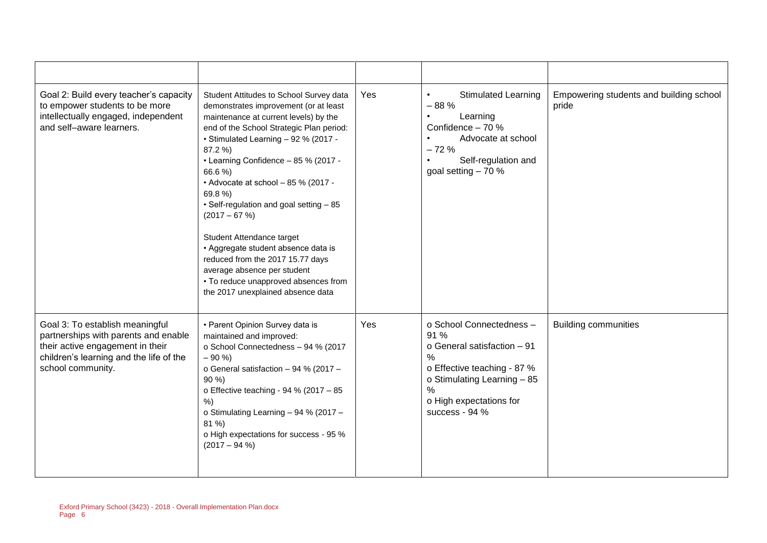| Goal 2: Build every teacher's capacity<br>to empower students to be more<br>intellectually engaged, independent<br>and self-aware learners.                                 | Student Attitudes to School Survey data<br>demonstrates improvement (or at least<br>maintenance at current levels) by the<br>end of the School Strategic Plan period:<br>• Stimulated Learning - 92 % (2017 -<br>87.2 %)<br>• Learning Confidence - 85 % (2017 -<br>66.6 %)<br>• Advocate at school - 85 % (2017 -<br>69.8%)<br>• Self-regulation and goal setting - 85<br>$(2017 - 67%)$<br>Student Attendance target<br>• Aggregate student absence data is<br>reduced from the 2017 15.77 days<br>average absence per student<br>• To reduce unapproved absences from<br>the 2017 unexplained absence data | Yes | <b>Stimulated Learning</b><br>$\bullet$<br>$-88%$<br>Learning<br>Confidence - 70 %<br>Advocate at school<br>$-72%$<br>Self-regulation and<br>goal setting $-70%$                                              | Empowering students and building school<br>pride |
|-----------------------------------------------------------------------------------------------------------------------------------------------------------------------------|---------------------------------------------------------------------------------------------------------------------------------------------------------------------------------------------------------------------------------------------------------------------------------------------------------------------------------------------------------------------------------------------------------------------------------------------------------------------------------------------------------------------------------------------------------------------------------------------------------------|-----|---------------------------------------------------------------------------------------------------------------------------------------------------------------------------------------------------------------|--------------------------------------------------|
| Goal 3: To establish meaningful<br>partnerships with parents and enable<br>their active engagement in their<br>children's learning and the life of the<br>school community. | • Parent Opinion Survey data is<br>maintained and improved:<br>o School Connectedness - 94 % (2017<br>$-90%$<br>o General satisfaction - 94 % (2017 -<br>$90\%$<br>o Effective teaching - 94 % (2017 - 85<br>%<br>o Stimulating Learning - 94 % (2017 -<br>81 %)<br>o High expectations for success - 95 %<br>$(2017 - 94 %$                                                                                                                                                                                                                                                                                  | Yes | o School Connectedness -<br>91 %<br>o General satisfaction - 91<br>$\frac{0}{0}$<br>o Effective teaching - 87 %<br>o Stimulating Learning - 85<br>$\frac{0}{0}$<br>o High expectations for<br>success - $94%$ | <b>Building communities</b>                      |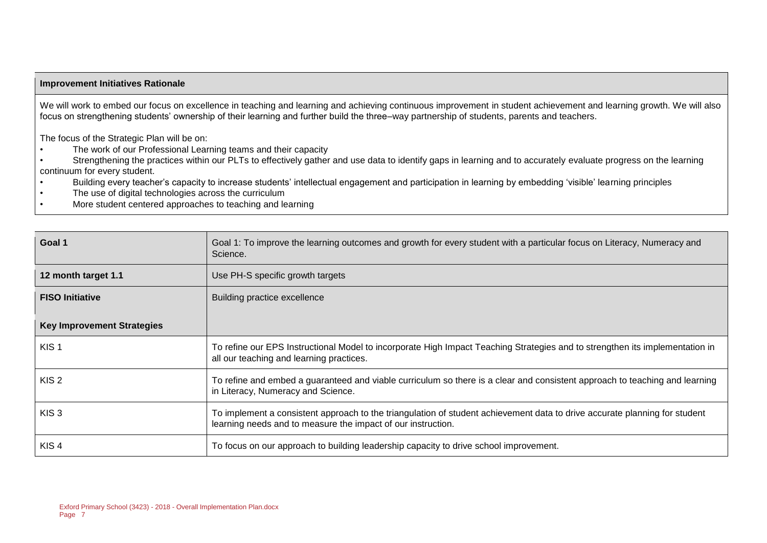#### **Improvement Initiatives Rationale**

We will work to embed our focus on excellence in teaching and learning and achieving continuous improvement in student achievement and learning growth. We will also focus on strengthening students' ownership of their learning and further build the three–way partnership of students, parents and teachers.

The focus of the Strategic Plan will be on:

- The work of our Professional Learning teams and their capacity
- Strengthening the practices within our PLTs to effectively gather and use data to identify gaps in learning and to accurately evaluate progress on the learning continuum for every student.
- Building every teacher's capacity to increase students' intellectual engagement and participation in learning by embedding 'visible' learning principles
- The use of digital technologies across the curriculum
- More student centered approaches to teaching and learning

| Goal 1                            | Goal 1: To improve the learning outcomes and growth for every student with a particular focus on Literacy, Numeracy and<br>Science.                                                        |  |  |
|-----------------------------------|--------------------------------------------------------------------------------------------------------------------------------------------------------------------------------------------|--|--|
| 12 month target 1.1               | Use PH-S specific growth targets                                                                                                                                                           |  |  |
| <b>FISO Initiative</b>            | Building practice excellence                                                                                                                                                               |  |  |
| <b>Key Improvement Strategies</b> |                                                                                                                                                                                            |  |  |
| KIS <sub>1</sub>                  | To refine our EPS Instructional Model to incorporate High Impact Teaching Strategies and to strengthen its implementation in<br>all our teaching and learning practices.                   |  |  |
| KIS <sub>2</sub>                  | To refine and embed a guaranteed and viable curriculum so there is a clear and consistent approach to teaching and learning<br>in Literacy, Numeracy and Science.                          |  |  |
| KIS <sub>3</sub>                  | To implement a consistent approach to the triangulation of student achievement data to drive accurate planning for student<br>learning needs and to measure the impact of our instruction. |  |  |
| KIS <sub>4</sub>                  | To focus on our approach to building leadership capacity to drive school improvement.                                                                                                      |  |  |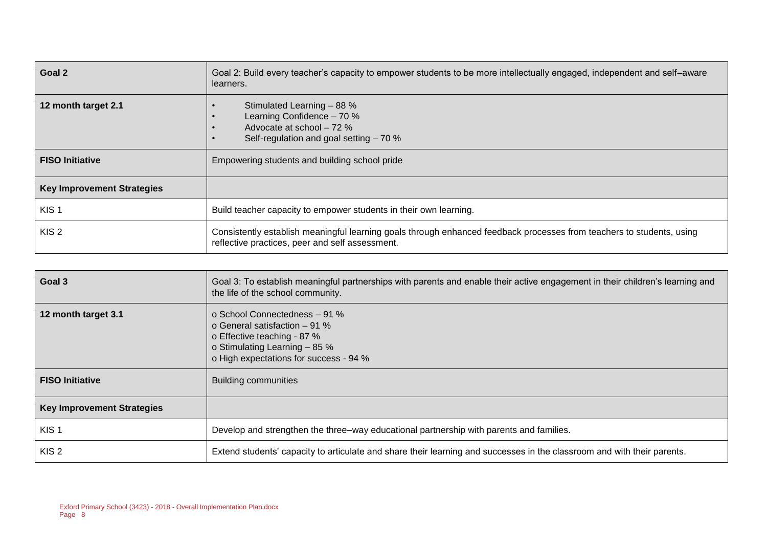| Goal 2                            | Goal 2: Build every teacher's capacity to empower students to be more intellectually engaged, independent and self-aware<br>learners.                                    |  |  |  |
|-----------------------------------|--------------------------------------------------------------------------------------------------------------------------------------------------------------------------|--|--|--|
| 12 month target 2.1               | Stimulated Learning - 88 %<br>Learning Confidence - 70 %<br>Advocate at school - 72 %<br>Self-regulation and goal setting - 70 %                                         |  |  |  |
| <b>FISO Initiative</b>            | Empowering students and building school pride                                                                                                                            |  |  |  |
| <b>Key Improvement Strategies</b> |                                                                                                                                                                          |  |  |  |
| KIS <sub>1</sub>                  | Build teacher capacity to empower students in their own learning.                                                                                                        |  |  |  |
| KIS <sub>2</sub>                  | Consistently establish meaningful learning goals through enhanced feedback processes from teachers to students, using<br>reflective practices, peer and self assessment. |  |  |  |

| Goal 3                            | Goal 3: To establish meaningful partnerships with parents and enable their active engagement in their children's learning and<br>the life of the school community.        |  |  |  |
|-----------------------------------|---------------------------------------------------------------------------------------------------------------------------------------------------------------------------|--|--|--|
| 12 month target 3.1               | o School Connectedness - 91 %<br>o General satisfaction $-91\%$<br>o Effective teaching - 87 %<br>o Stimulating Learning - 85 %<br>o High expectations for success - 94 % |  |  |  |
| <b>FISO Initiative</b>            | <b>Building communities</b>                                                                                                                                               |  |  |  |
| <b>Key Improvement Strategies</b> |                                                                                                                                                                           |  |  |  |
| KIS <sub>1</sub>                  | Develop and strengthen the three–way educational partnership with parents and families.                                                                                   |  |  |  |
| KIS <sub>2</sub>                  | Extend students' capacity to articulate and share their learning and successes in the classroom and with their parents.                                                   |  |  |  |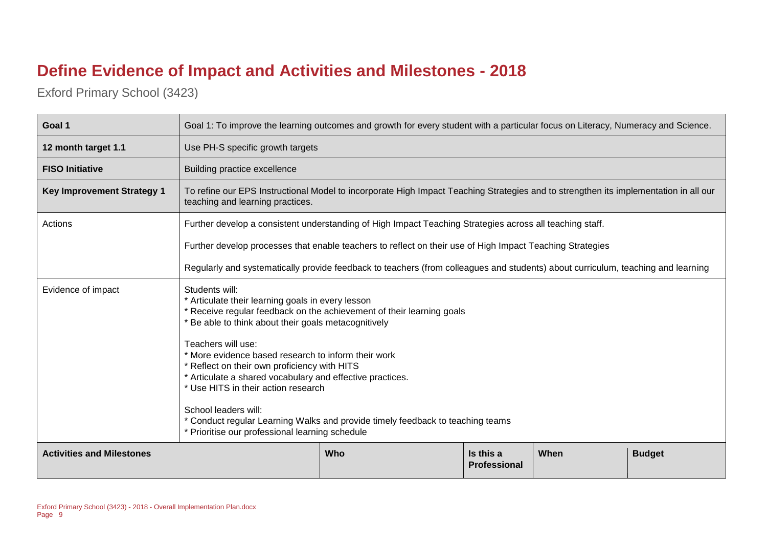### **Define Evidence of Impact and Activities and Milestones - 2018**

| Goal 1                                                                                               | Goal 1: To improve the learning outcomes and growth for every student with a particular focus on Literacy, Numeracy and Science.                                                                                                                                                                                                                                                                                                                                                                                                                                                                 |                                                                                                                                      |  |  |  |  |  |
|------------------------------------------------------------------------------------------------------|--------------------------------------------------------------------------------------------------------------------------------------------------------------------------------------------------------------------------------------------------------------------------------------------------------------------------------------------------------------------------------------------------------------------------------------------------------------------------------------------------------------------------------------------------------------------------------------------------|--------------------------------------------------------------------------------------------------------------------------------------|--|--|--|--|--|
| 12 month target 1.1                                                                                  | Use PH-S specific growth targets                                                                                                                                                                                                                                                                                                                                                                                                                                                                                                                                                                 |                                                                                                                                      |  |  |  |  |  |
| <b>FISO Initiative</b>                                                                               | Building practice excellence                                                                                                                                                                                                                                                                                                                                                                                                                                                                                                                                                                     |                                                                                                                                      |  |  |  |  |  |
| <b>Key Improvement Strategy 1</b>                                                                    | teaching and learning practices.                                                                                                                                                                                                                                                                                                                                                                                                                                                                                                                                                                 | To refine our EPS Instructional Model to incorporate High Impact Teaching Strategies and to strengthen its implementation in all our |  |  |  |  |  |
| Actions                                                                                              |                                                                                                                                                                                                                                                                                                                                                                                                                                                                                                                                                                                                  | Further develop a consistent understanding of High Impact Teaching Strategies across all teaching staff.                             |  |  |  |  |  |
|                                                                                                      |                                                                                                                                                                                                                                                                                                                                                                                                                                                                                                                                                                                                  | Further develop processes that enable teachers to reflect on their use of High Impact Teaching Strategies                            |  |  |  |  |  |
|                                                                                                      |                                                                                                                                                                                                                                                                                                                                                                                                                                                                                                                                                                                                  | Regularly and systematically provide feedback to teachers (from colleagues and students) about curriculum, teaching and learning     |  |  |  |  |  |
| Evidence of impact                                                                                   | Students will:<br>* Articulate their learning goals in every lesson<br>* Receive regular feedback on the achievement of their learning goals<br>Be able to think about their goals metacognitively<br>Teachers will use:<br>* More evidence based research to inform their work<br>* Reflect on their own proficiency with HITS<br>* Articulate a shared vocabulary and effective practices.<br>* Use HITS in their action research<br>School leaders will:<br>* Conduct regular Learning Walks and provide timely feedback to teaching teams<br>* Prioritise our professional learning schedule |                                                                                                                                      |  |  |  |  |  |
| <b>Activities and Milestones</b><br>Is this a<br><b>Budget</b><br>Who<br>When<br><b>Professional</b> |                                                                                                                                                                                                                                                                                                                                                                                                                                                                                                                                                                                                  |                                                                                                                                      |  |  |  |  |  |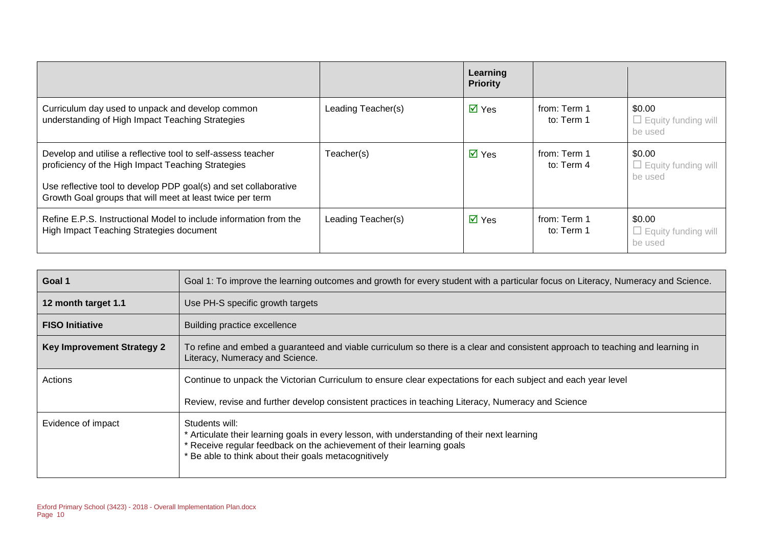|                                                                                                                                                                                                                                                     |                    | Learning<br><b>Priority</b> |                            |                                                 |
|-----------------------------------------------------------------------------------------------------------------------------------------------------------------------------------------------------------------------------------------------------|--------------------|-----------------------------|----------------------------|-------------------------------------------------|
| Curriculum day used to unpack and develop common<br>understanding of High Impact Teaching Strategies                                                                                                                                                | Leading Teacher(s) | $\overline{\mathsf{M}}$ Yes | from: Term 1<br>to: Term 1 | \$0.00<br>$\Box$ Equity funding will<br>be used |
| Develop and utilise a reflective tool to self-assess teacher<br>proficiency of the High Impact Teaching Strategies<br>Use reflective tool to develop PDP goal(s) and set collaborative<br>Growth Goal groups that will meet at least twice per term | Teacher(s)         | $\overline{\mathsf{M}}$ Yes | from: Term 1<br>to: Term 4 | \$0.00<br>$\Box$ Equity funding will<br>be used |
| Refine E.P.S. Instructional Model to include information from the<br>High Impact Teaching Strategies document                                                                                                                                       | Leading Teacher(s) | $\overline{\mathsf{M}}$ Yes | from: Term 1<br>to: Term 1 | \$0.00<br>$\Box$ Equity funding will<br>be used |

| Goal 1                            | Goal 1: To improve the learning outcomes and growth for every student with a particular focus on Literacy, Numeracy and Science.                                                                                                                |
|-----------------------------------|-------------------------------------------------------------------------------------------------------------------------------------------------------------------------------------------------------------------------------------------------|
| 12 month target 1.1               | Use PH-S specific growth targets                                                                                                                                                                                                                |
| <b>FISO Initiative</b>            | Building practice excellence                                                                                                                                                                                                                    |
| <b>Key Improvement Strategy 2</b> | To refine and embed a guaranteed and viable curriculum so there is a clear and consistent approach to teaching and learning in<br>Literacy, Numeracy and Science.                                                                               |
| Actions                           | Continue to unpack the Victorian Curriculum to ensure clear expectations for each subject and each year level                                                                                                                                   |
|                                   | Review, revise and further develop consistent practices in teaching Literacy, Numeracy and Science                                                                                                                                              |
| Evidence of impact                | Students will:<br>* Articulate their learning goals in every lesson, with understanding of their next learning<br>* Receive regular feedback on the achievement of their learning goals<br>* Be able to think about their goals metacognitively |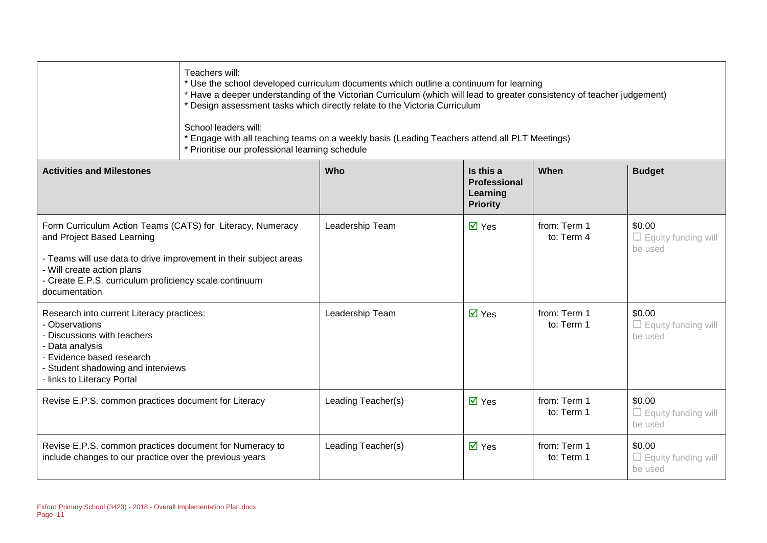| Teachers will:                                                                                                                                                                                                                                                         | * Use the school developed curriculum documents which outline a continuum for learning<br>* Have a deeper understanding of the Victorian Curriculum (which will lead to greater consistency of teacher judgement)<br>* Design assessment tasks which directly relate to the Victoria Curriculum<br>School leaders will:<br>* Engage with all teaching teams on a weekly basis (Leading Teachers attend all PLT Meetings)<br>* Prioritise our professional learning schedule |                    |                             |                            |                                                 |
|------------------------------------------------------------------------------------------------------------------------------------------------------------------------------------------------------------------------------------------------------------------------|-----------------------------------------------------------------------------------------------------------------------------------------------------------------------------------------------------------------------------------------------------------------------------------------------------------------------------------------------------------------------------------------------------------------------------------------------------------------------------|--------------------|-----------------------------|----------------------------|-------------------------------------------------|
| <b>Budget</b><br><b>Activities and Milestones</b><br>Who<br>Is this a<br>When<br>Professional<br>Learning<br><b>Priority</b>                                                                                                                                           |                                                                                                                                                                                                                                                                                                                                                                                                                                                                             |                    |                             |                            |                                                 |
| Form Curriculum Action Teams (CATS) for Literacy, Numeracy<br>and Project Based Learning<br>- Teams will use data to drive improvement in their subject areas<br>- Will create action plans<br>- Create E.P.S. curriculum proficiency scale continuum<br>documentation |                                                                                                                                                                                                                                                                                                                                                                                                                                                                             | Leadership Team    | $\overline{\mathsf{M}}$ Yes | from: Term 1<br>to: Term 4 | \$0.00<br>$\Box$ Equity funding will<br>be used |
| Research into current Literacy practices:<br>- Observations<br>- Discussions with teachers<br>- Data analysis<br>- Evidence based research<br>- Student shadowing and interviews<br>- links to Literacy Portal                                                         |                                                                                                                                                                                                                                                                                                                                                                                                                                                                             | Leadership Team    | $\overline{\mathsf{M}}$ Yes | from: Term 1<br>to: Term 1 | \$0.00<br>$\Box$ Equity funding will<br>be used |
| Revise E.P.S. common practices document for Literacy                                                                                                                                                                                                                   |                                                                                                                                                                                                                                                                                                                                                                                                                                                                             | Leading Teacher(s) | $\overline{M}$ Yes          | from: Term 1<br>to: Term 1 | \$0.00<br>$\Box$ Equity funding will<br>be used |
| Revise E.P.S. common practices document for Numeracy to<br>include changes to our practice over the previous years                                                                                                                                                     |                                                                                                                                                                                                                                                                                                                                                                                                                                                                             | Leading Teacher(s) | $\overline{\mathsf{M}}$ Yes | from: Term 1<br>to: Term 1 | \$0.00<br>$\Box$ Equity funding will<br>be used |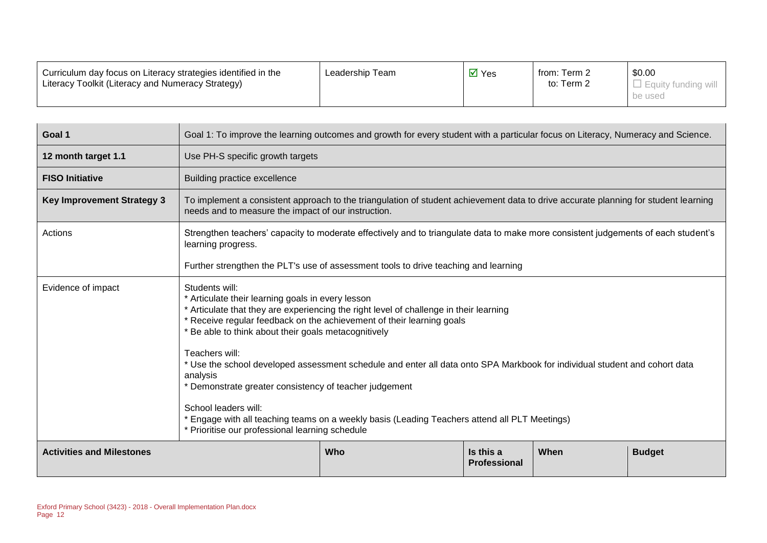| Curriculum day focus on Literacy strategies identified in the<br>Literacy Toolkit (Literacy and Numeracy Strategy) | Leadership Team | $\overline{M}$ Yes | from: Term 2<br>to: Term 2 | \$0.00<br>$\Box$ Equity funding will |
|--------------------------------------------------------------------------------------------------------------------|-----------------|--------------------|----------------------------|--------------------------------------|
|                                                                                                                    |                 |                    |                            | be used                              |

| Goal 1                            | Goal 1: To improve the learning outcomes and growth for every student with a particular focus on Literacy, Numeracy and Science.                                                                                                                                                               |  |  |  |  |  |
|-----------------------------------|------------------------------------------------------------------------------------------------------------------------------------------------------------------------------------------------------------------------------------------------------------------------------------------------|--|--|--|--|--|
| 12 month target 1.1               | Use PH-S specific growth targets                                                                                                                                                                                                                                                               |  |  |  |  |  |
| <b>FISO Initiative</b>            | Building practice excellence                                                                                                                                                                                                                                                                   |  |  |  |  |  |
| <b>Key Improvement Strategy 3</b> | To implement a consistent approach to the triangulation of student achievement data to drive accurate planning for student learning<br>needs and to measure the impact of our instruction.                                                                                                     |  |  |  |  |  |
| Actions                           | Strengthen teachers' capacity to moderate effectively and to triangulate data to make more consistent judgements of each student's<br>learning progress.                                                                                                                                       |  |  |  |  |  |
|                                   | Further strengthen the PLT's use of assessment tools to drive teaching and learning                                                                                                                                                                                                            |  |  |  |  |  |
| Evidence of impact                | Students will:<br>* Articulate their learning goals in every lesson<br>* Articulate that they are experiencing the right level of challenge in their learning<br>* Receive regular feedback on the achievement of their learning goals<br>* Be able to think about their goals metacognitively |  |  |  |  |  |
|                                   | Teachers will:<br>* Use the school developed assessment schedule and enter all data onto SPA Markbook for individual student and cohort data<br>analysis<br>* Demonstrate greater consistency of teacher judgement                                                                             |  |  |  |  |  |
|                                   | School leaders will:<br>* Engage with all teaching teams on a weekly basis (Leading Teachers attend all PLT Meetings)<br>* Prioritise our professional learning schedule                                                                                                                       |  |  |  |  |  |
| <b>Activities and Milestones</b>  | Is this a<br>When<br>Who<br><b>Budget</b><br><b>Professional</b>                                                                                                                                                                                                                               |  |  |  |  |  |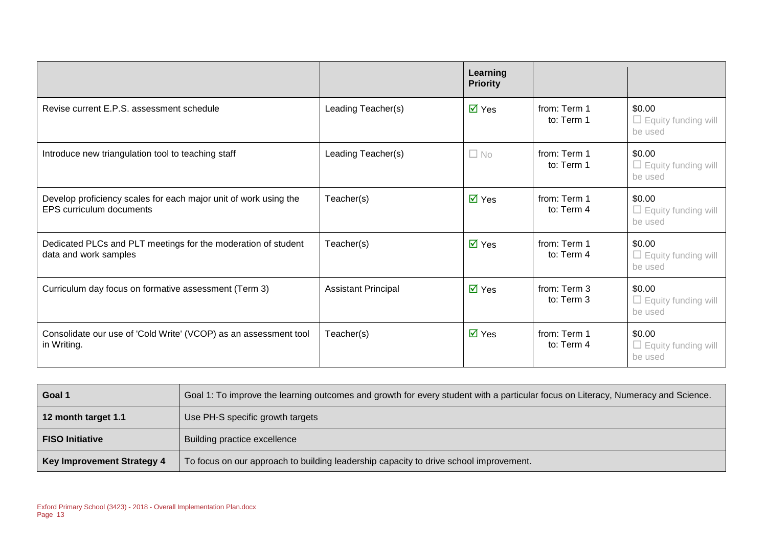|                                                                                                     |                            | Learning<br><b>Priority</b> |                              |                                                 |
|-----------------------------------------------------------------------------------------------------|----------------------------|-----------------------------|------------------------------|-------------------------------------------------|
| Revise current E.P.S. assessment schedule                                                           | Leading Teacher(s)         | $\overline{\mathsf{M}}$ Yes | from: Term 1<br>to: Term 1   | \$0.00<br>$\Box$ Equity funding will<br>be used |
| Introduce new triangulation tool to teaching staff                                                  | Leading Teacher(s)         | $\Box$ No                   | from: Term 1<br>to: Term 1   | \$0.00<br>$\Box$ Equity funding will<br>be used |
| Develop proficiency scales for each major unit of work using the<br><b>EPS curriculum documents</b> | Teacher(s)                 | $\overline{\mathsf{M}}$ Yes | from: Term 1<br>to: Term 4   | \$0.00<br>$\Box$ Equity funding will<br>be used |
| Dedicated PLCs and PLT meetings for the moderation of student<br>data and work samples              | Teacher(s)                 | $\overline{\mathsf{M}}$ Yes | from: Term 1<br>to: Term 4   | \$0.00<br>$\Box$ Equity funding will<br>be used |
| Curriculum day focus on formative assessment (Term 3)                                               | <b>Assistant Principal</b> | $\overline{\mathsf{M}}$ Yes | from: Term 3<br>to: Term 3   | \$0.00<br>$\Box$ Equity funding will<br>be used |
| Consolidate our use of 'Cold Write' (VCOP) as an assessment tool<br>in Writing.                     | Teacher(s)                 | $\overline{\mathsf{M}}$ Yes | from: Term 1<br>to: Term $4$ | \$0.00<br>$\Box$ Equity funding will<br>be used |

| Goal 1                            | Goal 1: To improve the learning outcomes and growth for every student with a particular focus on Literacy, Numeracy and Science. |
|-----------------------------------|----------------------------------------------------------------------------------------------------------------------------------|
| 12 month target 1.1               | Use PH-S specific growth targets                                                                                                 |
| <b>FISO Initiative</b>            | Building practice excellence                                                                                                     |
| <b>Key Improvement Strategy 4</b> | To focus on our approach to building leadership capacity to drive school improvement.                                            |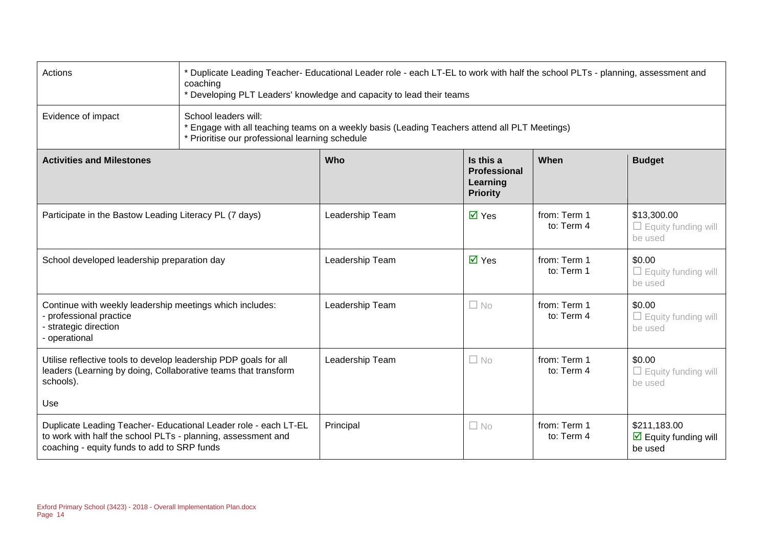| Actions                                                                                                                                                                               | * Duplicate Leading Teacher- Educational Leader role - each LT-EL to work with half the school PLTs - planning, assessment and<br>coaching<br>* Developing PLT Leaders' knowledge and capacity to lead their teams |                 |                                                                 |                            |                                                                 |
|---------------------------------------------------------------------------------------------------------------------------------------------------------------------------------------|--------------------------------------------------------------------------------------------------------------------------------------------------------------------------------------------------------------------|-----------------|-----------------------------------------------------------------|----------------------------|-----------------------------------------------------------------|
| Evidence of impact                                                                                                                                                                    | School leaders will:<br>* Engage with all teaching teams on a weekly basis (Leading Teachers attend all PLT Meetings)<br>* Prioritise our professional learning schedule                                           |                 |                                                                 |                            |                                                                 |
| <b>Activities and Milestones</b>                                                                                                                                                      |                                                                                                                                                                                                                    | <b>Who</b>      | Is this a<br><b>Professional</b><br>Learning<br><b>Priority</b> | When                       | <b>Budget</b>                                                   |
| Participate in the Bastow Leading Literacy PL (7 days)                                                                                                                                |                                                                                                                                                                                                                    | Leadership Team | $\overline{M}$ Yes                                              | from: Term 1<br>to: Term 4 | \$13,300.00<br>$\Box$ Equity funding will<br>be used            |
| School developed leadership preparation day                                                                                                                                           |                                                                                                                                                                                                                    | Leadership Team | $\overline{M}$ Yes                                              | from: Term 1<br>to: Term 1 | \$0.00<br>$\Box$ Equity funding will<br>be used                 |
| Continue with weekly leadership meetings which includes:<br>- professional practice<br>- strategic direction<br>- operational                                                         |                                                                                                                                                                                                                    | Leadership Team | $\Box$ No                                                       | from: Term 1<br>to: Term 4 | \$0.00<br>$\Box$ Equity funding will<br>be used                 |
| Utilise reflective tools to develop leadership PDP goals for all<br>leaders (Learning by doing, Collaborative teams that transform<br>schools).                                       |                                                                                                                                                                                                                    | Leadership Team | $\Box$ No                                                       | from: Term 1<br>to: Term 4 | \$0.00<br>$\Box$ Equity funding will<br>be used                 |
| Use<br>Duplicate Leading Teacher- Educational Leader role - each LT-EL<br>to work with half the school PLTs - planning, assessment and<br>coaching - equity funds to add to SRP funds |                                                                                                                                                                                                                    | Principal       | $\Box$ No                                                       | from: Term 1<br>to: Term 4 | \$211,183.00<br>$\triangleright$ Equity funding will<br>be used |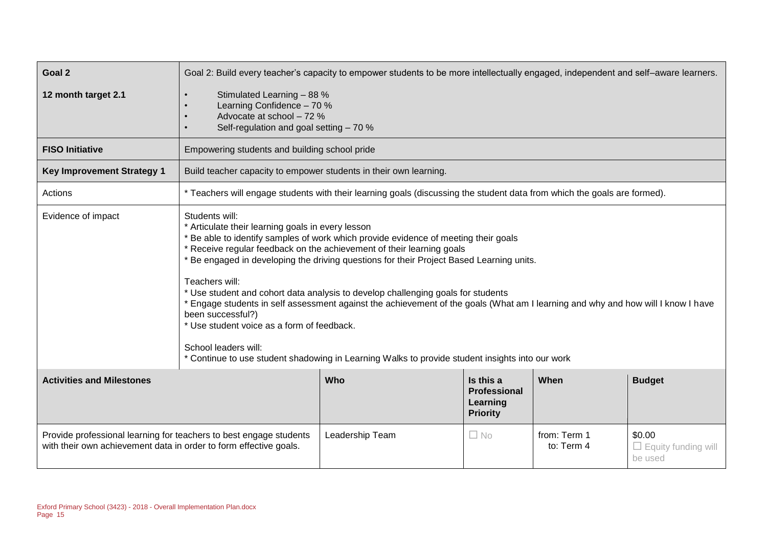| Goal 2                            | Goal 2: Build every teacher's capacity to empower students to be more intellectually engaged, independent and self-aware learners.                                                                                                                                                                                                                                                                                                                                                                                                                                                                                                                                                                                                                                      |                                                                                                                          |  |  |  |
|-----------------------------------|-------------------------------------------------------------------------------------------------------------------------------------------------------------------------------------------------------------------------------------------------------------------------------------------------------------------------------------------------------------------------------------------------------------------------------------------------------------------------------------------------------------------------------------------------------------------------------------------------------------------------------------------------------------------------------------------------------------------------------------------------------------------------|--------------------------------------------------------------------------------------------------------------------------|--|--|--|
| 12 month target 2.1               | Stimulated Learning - 88 %<br>Learning Confidence - 70 %<br>Advocate at school - 72 %<br>Self-regulation and goal setting - 70 %                                                                                                                                                                                                                                                                                                                                                                                                                                                                                                                                                                                                                                        |                                                                                                                          |  |  |  |
| <b>FISO Initiative</b>            | Empowering students and building school pride                                                                                                                                                                                                                                                                                                                                                                                                                                                                                                                                                                                                                                                                                                                           |                                                                                                                          |  |  |  |
| <b>Key Improvement Strategy 1</b> | Build teacher capacity to empower students in their own learning.                                                                                                                                                                                                                                                                                                                                                                                                                                                                                                                                                                                                                                                                                                       |                                                                                                                          |  |  |  |
| Actions                           |                                                                                                                                                                                                                                                                                                                                                                                                                                                                                                                                                                                                                                                                                                                                                                         | * Teachers will engage students with their learning goals (discussing the student data from which the goals are formed). |  |  |  |
| Evidence of impact                | Students will:<br>* Articulate their learning goals in every lesson<br>* Be able to identify samples of work which provide evidence of meeting their goals<br>* Receive regular feedback on the achievement of their learning goals<br>* Be engaged in developing the driving questions for their Project Based Learning units.<br>Teachers will:<br>* Use student and cohort data analysis to develop challenging goals for students<br>* Engage students in self assessment against the achievement of the goals (What am I learning and why and how will I know I have<br>been successful?)<br>* Use student voice as a form of feedback.<br>School leaders will:<br>* Continue to use student shadowing in Learning Walks to provide student insights into our work |                                                                                                                          |  |  |  |
| <b>Activities and Milestones</b>  | Who<br>Is this a<br>When<br><b>Budget</b><br><b>Professional</b><br>Learning<br><b>Priority</b>                                                                                                                                                                                                                                                                                                                                                                                                                                                                                                                                                                                                                                                                         |                                                                                                                          |  |  |  |
|                                   | Provide professional learning for teachers to best engage students<br>Leadership Team<br>from: Term 1<br>\$0.00<br>$\Box$ No<br>with their own achievement data in order to form effective goals.<br>to: Term 4<br>$\Box$ Equity funding will<br>be used                                                                                                                                                                                                                                                                                                                                                                                                                                                                                                                |                                                                                                                          |  |  |  |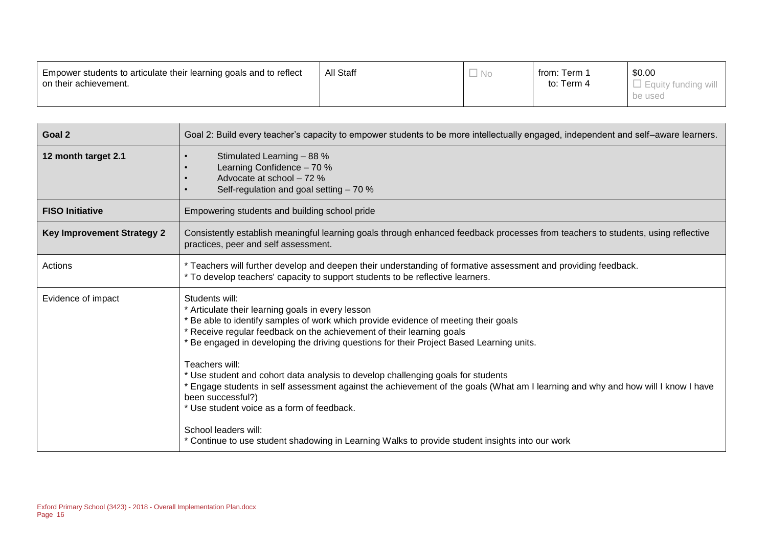| Empower students to articulate their learning goals and to reflect | <b>All Staff</b> | ' No | from: Term . | \$0.00  |
|--------------------------------------------------------------------|------------------|------|--------------|---------|
| on their achievement.                                              |                  |      | to: Term 4   |         |
|                                                                    |                  |      |              | be used |

| Goal 2                            | Goal 2: Build every teacher's capacity to empower students to be more intellectually engaged, independent and self-aware learners.                                                                                                                                                                                                                                                                                                                                                                                                                                                                                                                                                                                                                                      |
|-----------------------------------|-------------------------------------------------------------------------------------------------------------------------------------------------------------------------------------------------------------------------------------------------------------------------------------------------------------------------------------------------------------------------------------------------------------------------------------------------------------------------------------------------------------------------------------------------------------------------------------------------------------------------------------------------------------------------------------------------------------------------------------------------------------------------|
| 12 month target 2.1               | Stimulated Learning - 88 %<br>$\bullet$<br>Learning Confidence - 70 %<br>Advocate at school - 72 %<br>$\bullet$<br>Self-regulation and goal setting - 70 %<br>$\bullet$                                                                                                                                                                                                                                                                                                                                                                                                                                                                                                                                                                                                 |
| <b>FISO Initiative</b>            | Empowering students and building school pride                                                                                                                                                                                                                                                                                                                                                                                                                                                                                                                                                                                                                                                                                                                           |
| <b>Key Improvement Strategy 2</b> | Consistently establish meaningful learning goals through enhanced feedback processes from teachers to students, using reflective<br>practices, peer and self assessment.                                                                                                                                                                                                                                                                                                                                                                                                                                                                                                                                                                                                |
| Actions                           | * Teachers will further develop and deepen their understanding of formative assessment and providing feedback.<br>* To develop teachers' capacity to support students to be reflective learners.                                                                                                                                                                                                                                                                                                                                                                                                                                                                                                                                                                        |
| Evidence of impact                | Students will:<br>* Articulate their learning goals in every lesson<br>* Be able to identify samples of work which provide evidence of meeting their goals<br>* Receive regular feedback on the achievement of their learning goals<br>* Be engaged in developing the driving questions for their Project Based Learning units.<br>Teachers will:<br>* Use student and cohort data analysis to develop challenging goals for students<br>* Engage students in self assessment against the achievement of the goals (What am I learning and why and how will I know I have<br>been successful?)<br>* Use student voice as a form of feedback.<br>School leaders will:<br>* Continue to use student shadowing in Learning Walks to provide student insights into our work |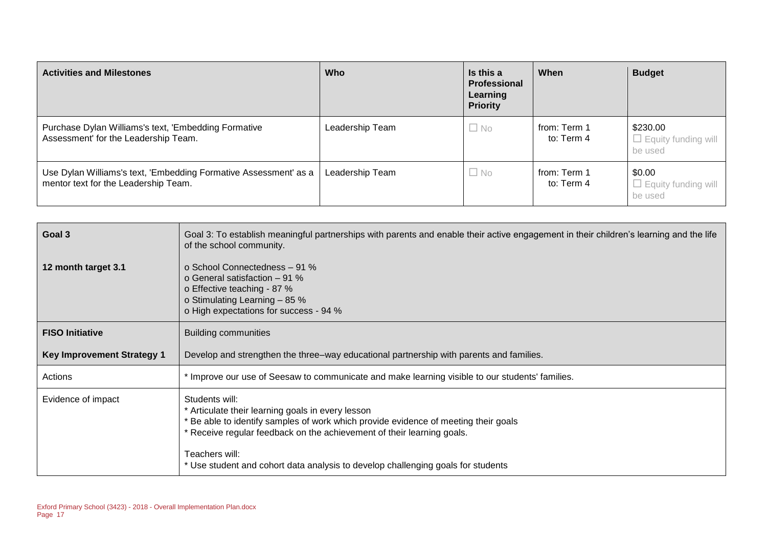| <b>Activities and Milestones</b>                                                                         | <b>Who</b>      | Is this a<br>Professional<br>Learning<br><b>Priority</b> | When                       | <b>Budget</b>                                     |
|----------------------------------------------------------------------------------------------------------|-----------------|----------------------------------------------------------|----------------------------|---------------------------------------------------|
| Purchase Dylan Williams's text, 'Embedding Formative<br>Assessment' for the Leadership Team.             | Leadership Team | $\Box$ No                                                | from: Term 1<br>to: Term 4 | \$230.00<br>$\Box$ Equity funding will<br>be used |
| Use Dylan Williams's text, 'Embedding Formative Assessment' as a<br>mentor text for the Leadership Team. | Leadership Team | $\Box$ No                                                | from: Term 1<br>to: Term 4 | \$0.00<br>$\Box$ Equity funding will<br>be used   |

| Goal 3                            | Goal 3: To establish meaningful partnerships with parents and enable their active engagement in their children's learning and the life<br>of the school community.                                                                                                                                                                         |
|-----------------------------------|--------------------------------------------------------------------------------------------------------------------------------------------------------------------------------------------------------------------------------------------------------------------------------------------------------------------------------------------|
| 12 month target 3.1               | o School Connectedness - 91 %<br>o General satisfaction $-91\%$<br>o Effective teaching - 87 %<br>o Stimulating Learning - 85 %<br>o High expectations for success - 94 %                                                                                                                                                                  |
| <b>FISO Initiative</b>            | <b>Building communities</b>                                                                                                                                                                                                                                                                                                                |
| <b>Key Improvement Strategy 1</b> | Develop and strengthen the three–way educational partnership with parents and families.                                                                                                                                                                                                                                                    |
| Actions                           | * Improve our use of Seesaw to communicate and make learning visible to our students' families.                                                                                                                                                                                                                                            |
| Evidence of impact                | Students will:<br>* Articulate their learning goals in every lesson<br>* Be able to identify samples of work which provide evidence of meeting their goals<br>* Receive regular feedback on the achievement of their learning goals.<br>Teachers will:<br>* Use student and cohort data analysis to develop challenging goals for students |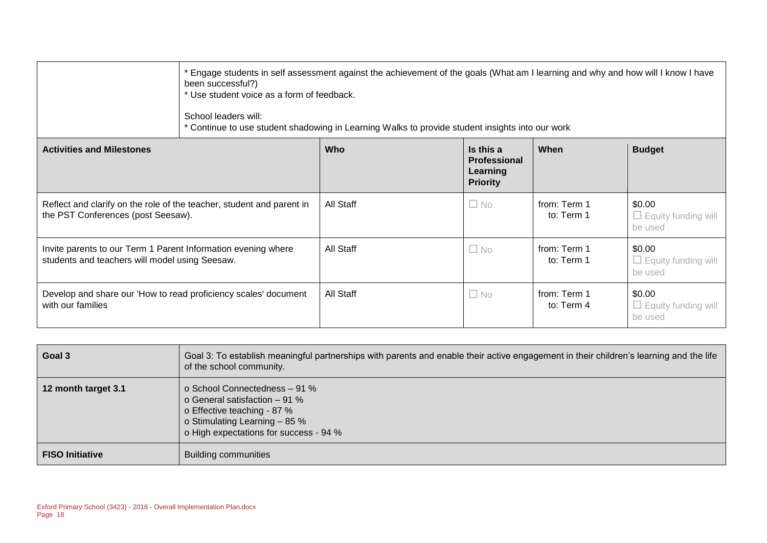|                                                                                                                 | been successful?)<br>School leaders will: | * Engage students in self assessment against the achievement of the goals (What am I learning and why and how will I know I have<br>* Use student voice as a form of feedback.<br>* Continue to use student shadowing in Learning Walks to provide student insights into our work |                                                                 |                            |                                                 |  |  |  |
|-----------------------------------------------------------------------------------------------------------------|-------------------------------------------|-----------------------------------------------------------------------------------------------------------------------------------------------------------------------------------------------------------------------------------------------------------------------------------|-----------------------------------------------------------------|----------------------------|-------------------------------------------------|--|--|--|
| <b>Activities and Milestones</b>                                                                                |                                           | <b>Who</b>                                                                                                                                                                                                                                                                        | Is this a<br><b>Professional</b><br>Learning<br><b>Priority</b> | When                       | <b>Budget</b>                                   |  |  |  |
| Reflect and clarify on the role of the teacher, student and parent in<br>the PST Conferences (post Seesaw).     |                                           | All Staff                                                                                                                                                                                                                                                                         | $\Box$ No                                                       | from: Term 1<br>to: Term 1 | \$0.00<br>$\Box$ Equity funding will<br>be used |  |  |  |
| Invite parents to our Term 1 Parent Information evening where<br>students and teachers will model using Seesaw. |                                           | All Staff                                                                                                                                                                                                                                                                         | $\Box$ No                                                       | from: Term 1<br>to: Term 1 | \$0.00<br>$\Box$ Equity funding will<br>be used |  |  |  |
| Develop and share our 'How to read proficiency scales' document<br>with our families                            |                                           | All Staff                                                                                                                                                                                                                                                                         | $\Box$ No                                                       | from: Term 1<br>to: Term 4 | \$0.00<br>$\Box$ Equity funding will<br>be used |  |  |  |

| Goal 3                 | Goal 3: To establish meaningful partnerships with parents and enable their active engagement in their children's learning and the life<br>of the school community.        |
|------------------------|---------------------------------------------------------------------------------------------------------------------------------------------------------------------------|
| 12 month target 3.1    | o School Connectedness - 91 %<br>o General satisfaction $-91\%$<br>o Effective teaching - 87 %<br>o Stimulating Learning - 85 %<br>o High expectations for success - 94 % |
| <b>FISO Initiative</b> | <b>Building communities</b>                                                                                                                                               |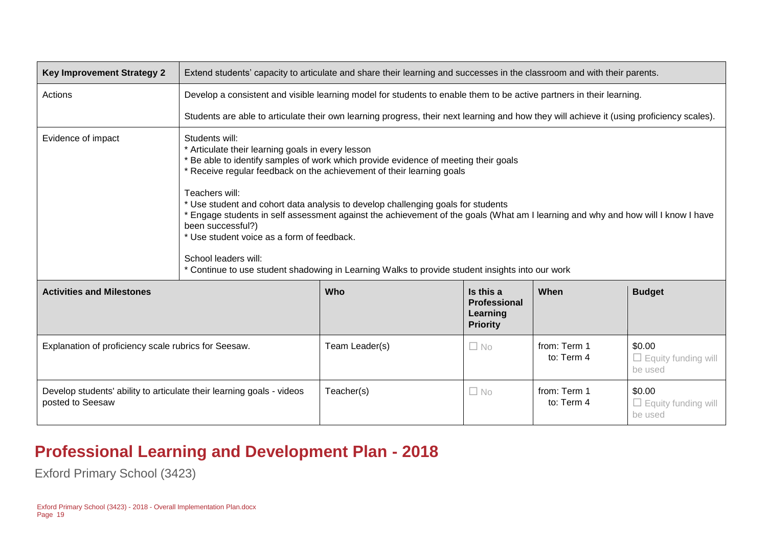| <b>Key Improvement Strategy 2</b>                                                         | Extend students' capacity to articulate and share their learning and successes in the classroom and with their parents.                                                                                                                                                                                                                                                                                                                                                                                                                                                                                                                                                     |                                                                                                                                           |                                                          |                            |                                                 |  |  |
|-------------------------------------------------------------------------------------------|-----------------------------------------------------------------------------------------------------------------------------------------------------------------------------------------------------------------------------------------------------------------------------------------------------------------------------------------------------------------------------------------------------------------------------------------------------------------------------------------------------------------------------------------------------------------------------------------------------------------------------------------------------------------------------|-------------------------------------------------------------------------------------------------------------------------------------------|----------------------------------------------------------|----------------------------|-------------------------------------------------|--|--|
| Actions                                                                                   |                                                                                                                                                                                                                                                                                                                                                                                                                                                                                                                                                                                                                                                                             | Develop a consistent and visible learning model for students to enable them to be active partners in their learning.                      |                                                          |                            |                                                 |  |  |
|                                                                                           |                                                                                                                                                                                                                                                                                                                                                                                                                                                                                                                                                                                                                                                                             | Students are able to articulate their own learning progress, their next learning and how they will achieve it (using proficiency scales). |                                                          |                            |                                                 |  |  |
| Evidence of impact                                                                        | Students will:<br>* Articulate their learning goals in every lesson<br>* Be able to identify samples of work which provide evidence of meeting their goals<br>* Receive regular feedback on the achievement of their learning goals<br>Teachers will:<br>* Use student and cohort data analysis to develop challenging goals for students<br>* Engage students in self assessment against the achievement of the goals (What am I learning and why and how will I know I have<br>been successful?)<br>* Use student voice as a form of feedback.<br>School leaders will:<br>* Continue to use student shadowing in Learning Walks to provide student insights into our work |                                                                                                                                           |                                                          |                            |                                                 |  |  |
| <b>Activities and Milestones</b>                                                          |                                                                                                                                                                                                                                                                                                                                                                                                                                                                                                                                                                                                                                                                             | <b>Who</b>                                                                                                                                | Is this a<br>Professional<br>Learning<br><b>Priority</b> | When                       | <b>Budget</b>                                   |  |  |
| Explanation of proficiency scale rubrics for Seesaw.                                      |                                                                                                                                                                                                                                                                                                                                                                                                                                                                                                                                                                                                                                                                             | Team Leader(s)                                                                                                                            | $\square$ No                                             | from: Term 1<br>to: Term 4 | \$0.00<br>$\Box$ Equity funding will<br>be used |  |  |
| Develop students' ability to articulate their learning goals - videos<br>posted to Seesaw |                                                                                                                                                                                                                                                                                                                                                                                                                                                                                                                                                                                                                                                                             | Teacher(s)                                                                                                                                | $\square$ No                                             | from: Term 1<br>to: Term 4 | \$0.00<br>$\Box$ Equity funding will<br>be used |  |  |

#### **Professional Learning and Development Plan - 2018**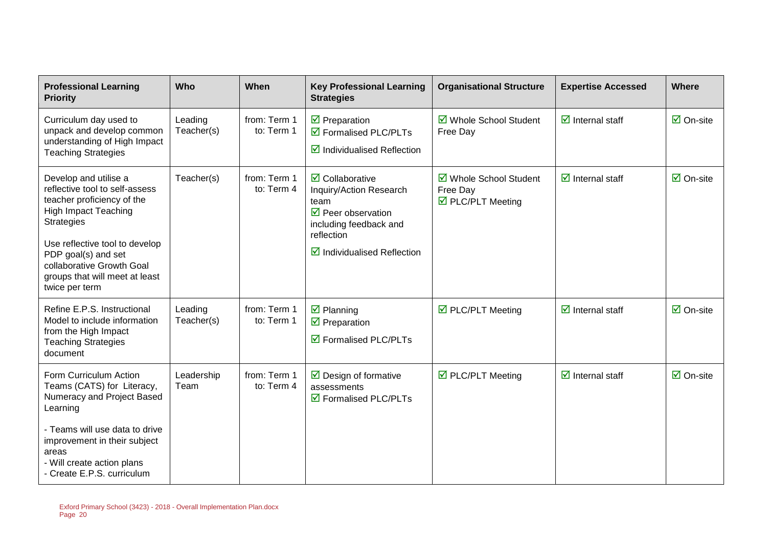| <b>Professional Learning</b><br><b>Priority</b>                                                                                                                                                                                                                                     | Who                   | When                       | <b>Key Professional Learning</b><br><b>Strategies</b>                                                                                                                                     | <b>Organisational Structure</b>                         | <b>Expertise Accessed</b>              | Where                           |
|-------------------------------------------------------------------------------------------------------------------------------------------------------------------------------------------------------------------------------------------------------------------------------------|-----------------------|----------------------------|-------------------------------------------------------------------------------------------------------------------------------------------------------------------------------------------|---------------------------------------------------------|----------------------------------------|---------------------------------|
| Curriculum day used to<br>unpack and develop common<br>understanding of High Impact<br><b>Teaching Strategies</b>                                                                                                                                                                   | Leading<br>Teacher(s) | from: Term 1<br>to: Term 1 | $\triangledown$ Preparation<br>$\boxtimes$ Formalised PLC/PLTs<br>$\boxtimes$ Individualised Reflection                                                                                   | ☑ Whole School Student<br>Free Day                      | $\overline{\mathbf{z}}$ Internal staff | $\overline{\mathsf{M}}$ On-site |
| Develop and utilise a<br>reflective tool to self-assess<br>teacher proficiency of the<br><b>High Impact Teaching</b><br><b>Strategies</b><br>Use reflective tool to develop<br>PDP goal(s) and set<br>collaborative Growth Goal<br>groups that will meet at least<br>twice per term | Teacher(s)            | from: Term 1<br>to: Term 4 | $\triangledown$ Collaborative<br>Inquiry/Action Research<br>team<br>$\triangledown$ Peer observation<br>including feedback and<br>reflection<br>$\triangledown$ Individualised Reflection | ☑ Whole School Student<br>Free Day<br>☑ PLC/PLT Meeting | $\overline{\mathbf{z}}$ Internal staff | $\overline{\mathsf{M}}$ On-site |
| Refine E.P.S. Instructional<br>Model to include information<br>from the High Impact<br><b>Teaching Strategies</b><br>document                                                                                                                                                       | Leading<br>Teacher(s) | from: Term 1<br>to: Term 1 | $\overline{\mathbf{y}}$ Planning<br>$\overline{\mathbf{y}}$ Preparation<br>$\triangledown$ Formalised PLC/PLTs                                                                            | $\triangledown$ PLC/PLT Meeting                         | $\overline{\mathbf{z}}$ Internal staff | $\overline{\mathsf{M}}$ On-site |
| Form Curriculum Action<br>Teams (CATS) for Literacy,<br>Numeracy and Project Based<br>Learning                                                                                                                                                                                      | Leadership<br>Team    | from: Term 1<br>to: Term 4 | $\triangleright$ Design of formative<br>assessments<br>$\overline{\mathbf{2}}$ Formalised PLC/PLTs                                                                                        | $\triangledown$ PLC/PLT Meeting                         | $\overline{\mathbf{z}}$ Internal staff | $\overline{\mathsf{M}}$ On-site |
| - Teams will use data to drive<br>improvement in their subject<br>areas<br>- Will create action plans<br>- Create E.P.S. curriculum                                                                                                                                                 |                       |                            |                                                                                                                                                                                           |                                                         |                                        |                                 |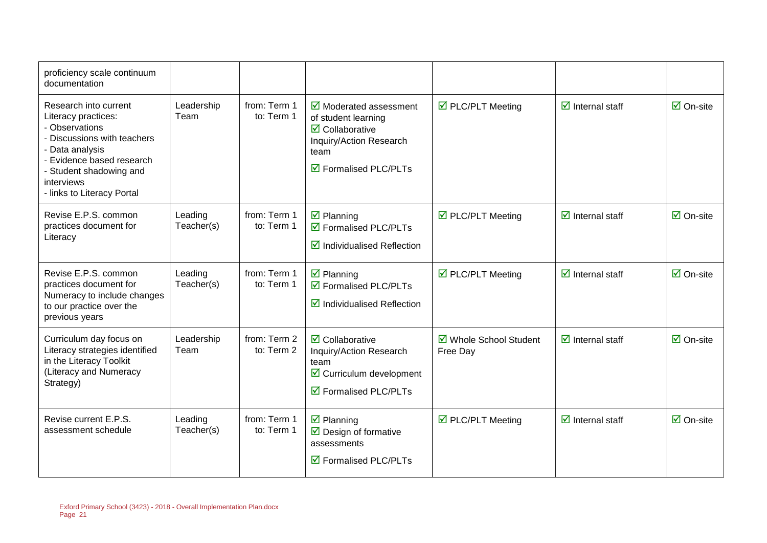| proficiency scale continuum<br>documentation                                                                                                                                                                         |                       |                            |                                                                                                                                                                                        |                                    |                                        |                                 |
|----------------------------------------------------------------------------------------------------------------------------------------------------------------------------------------------------------------------|-----------------------|----------------------------|----------------------------------------------------------------------------------------------------------------------------------------------------------------------------------------|------------------------------------|----------------------------------------|---------------------------------|
| Research into current<br>Literacy practices:<br>- Observations<br>- Discussions with teachers<br>- Data analysis<br>- Evidence based research<br>- Student shadowing and<br>interviews<br>- links to Literacy Portal | Leadership<br>Team    | from: Term 1<br>to: Term 1 | $\overline{\mathbf{y}}$ Moderated assessment<br>of student learning<br>$\overline{\mathbf{2}}$ Collaborative<br>Inquiry/Action Research<br>team<br>$\triangledown$ Formalised PLC/PLTs | ☑ PLC/PLT Meeting                  | $\overline{\mathbf{M}}$ Internal staff | $\overline{\Box}$ On-site       |
| Revise E.P.S. common<br>practices document for<br>Literacy                                                                                                                                                           | Leading<br>Teacher(s) | from: Term 1<br>to: Term 1 | $\overline{\mathbf{z}}$ Planning<br>$\boxtimes$ Formalised PLC/PLTs<br>$\boxtimes$ Individualised Reflection                                                                           | ☑ PLC/PLT Meeting                  | $\overline{\mathbf{M}}$ Internal staff | $\boxdot$ On-site               |
| Revise E.P.S. common<br>practices document for<br>Numeracy to include changes<br>to our practice over the<br>previous years                                                                                          | Leading<br>Teacher(s) | from: Term 1<br>to: Term 1 | $\overline{\mathbf{z}}$ Planning<br>☑ Formalised PLC/PLTs<br>$\boxtimes$ Individualised Reflection                                                                                     | ☑ PLC/PLT Meeting                  | $\overline{\mathbf{M}}$ Internal staff | $\overline{\Box}$ On-site       |
| Curriculum day focus on<br>Literacy strategies identified<br>in the Literacy Toolkit<br>(Literacy and Numeracy<br>Strategy)                                                                                          | Leadership<br>Team    | from: Term 2<br>to: Term 2 | $\triangledown$ Collaborative<br>Inquiry/Action Research<br>team<br>☑ Curriculum development<br>$\boxtimes$ Formalised PLC/PLTs                                                        | ☑ Whole School Student<br>Free Day | $\overline{\mathbf{M}}$ Internal staff | $\overline{\mathsf{M}}$ On-site |
| Revise current E.P.S.<br>assessment schedule                                                                                                                                                                         | Leading<br>Teacher(s) | from: Term 1<br>to: Term 1 | $\boxtimes$ Planning<br>$\triangleright$ Design of formative<br>assessments<br>$\overline{\mathbf{M}}$ Formalised PLC/PLTs                                                             | ☑ PLC/PLT Meeting                  | $\overline{\mathbf{y}}$ Internal staff | $\boxdot$ On-site               |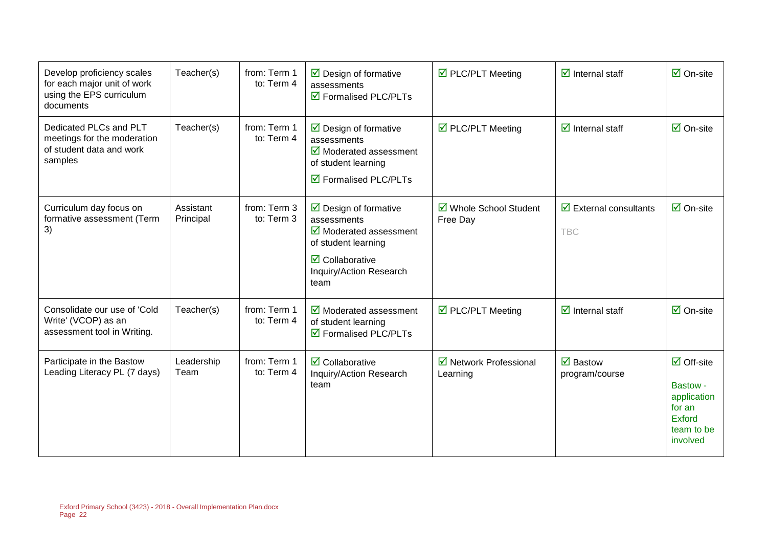| Develop proficiency scales<br>for each major unit of work<br>using the EPS curriculum<br>documents | Teacher(s)             | from: Term 1<br>to: Term 4 | $\triangleright$ Design of formative<br>assessments<br>$\triangledown$ Formalised PLC/PLTs                                                                                                             | $\triangledown$ PLC/PLT Meeting    | $\overline{\mathbf{z}}$ Internal staff                     | $\boxdot$ On-site                                                                                  |
|----------------------------------------------------------------------------------------------------|------------------------|----------------------------|--------------------------------------------------------------------------------------------------------------------------------------------------------------------------------------------------------|------------------------------------|------------------------------------------------------------|----------------------------------------------------------------------------------------------------|
| Dedicated PLCs and PLT<br>meetings for the moderation<br>of student data and work<br>samples       | Teacher(s)             | from: Term 1<br>to: Term 4 | $\triangleright$ Design of formative<br>assessments<br>$\overline{\mathbf{y}}$ Moderated assessment<br>of student learning<br>$\triangledown$ Formalised PLC/PLTs                                      | ☑ PLC/PLT Meeting                  | $\overline{\mathbf{y}}$ Internal staff                     | $\overline{\mathsf{M}}$ On-site                                                                    |
| Curriculum day focus on<br>formative assessment (Term<br>3)                                        | Assistant<br>Principal | from: Term 3<br>to: Term 3 | $\triangleright$ Design of formative<br>assessments<br>$\overline{\mathbf{y}}$ Moderated assessment<br>of student learning<br>$\overline{\mathbf{Z}}$ Collaborative<br>Inquiry/Action Research<br>team | ☑ Whole School Student<br>Free Day | $\overline{\mathbf{y}}$ External consultants<br><b>TBC</b> | $\boxdot$ On-site                                                                                  |
| Consolidate our use of 'Cold<br>Write' (VCOP) as an<br>assessment tool in Writing.                 | Teacher(s)             | from: Term 1<br>to: Term 4 | $\overline{\mathbf{y}}$ Moderated assessment<br>of student learning<br>☑ Formalised PLC/PLTs                                                                                                           | $\triangledown$ PLC/PLT Meeting    | $\overline{\mathbf{z}}$ Internal staff                     | $\overline{\mathsf{M}}$ On-site                                                                    |
| Participate in the Bastow<br>Leading Literacy PL (7 days)                                          | Leadership<br>Team     | from: Term 1<br>to: Term 4 | $\overline{\mathbf{z}}$ Collaborative<br>Inquiry/Action Research<br>team                                                                                                                               | ☑ Network Professional<br>Learning | $\overline{\mathbf{y}}$ Bastow<br>program/course           | $\boxdot$ Off-site<br>Bastow -<br>application<br>for an<br><b>Exford</b><br>team to be<br>involved |